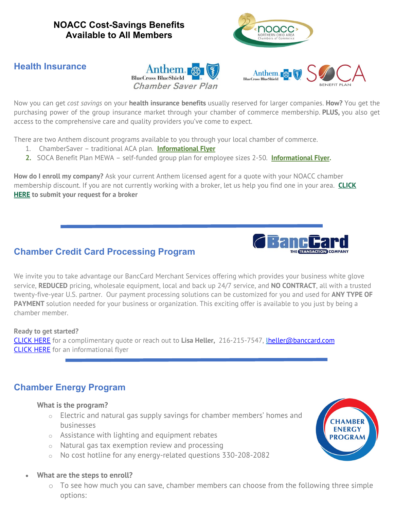**NOACC Cost-Savings Benefits Available to All Members**



### **Health Insurance**





Now you can get *cost savings* on your **health insurance benefits** usually reserved for larger companies. **How?** You get the purchasing power of the group insurance market through your chamber of commerce membership. **PLUS,** you also get access to the comprehensive care and quality providers you've come to expect.

There are two Anthem discount programs available to you through your local chamber of commerce.

- 1. ChamberSaver traditional ACA plan. **[Informational](http://chamber.noacc.org/info/) Flyer**
- **2.** SOCA Benefit Plan MEWA self-funded group plan for employee sizes 2-50. **[Informational Flyer.](https://noacc.org/wp-content/uploads/2020/04/2020-MEWA-Flyer-New-NOACC-logo.pdf)**

**How do I enroll my company?** Ask your current Anthem licensed agent for a quote with your NOACC chamber membership discount. If you are not currently working with a broker, let us help you find one in your area. **[CLICK](http://chamber.noacc.org/info/)  [HERE](http://chamber.noacc.org/info/) to submit your request for a broker**



## **Chamber Credit Card Processing Program**

We invite you to take advantage our BancCard Merchant Services offering which provides your business white glove service, **REDUCED** pricing, wholesale equipment, local and back up 24/7 service, and **NO CONTRACT**, all with a trusted twenty-five-year U.S. partner. Our payment processing solutions can be customized for you and used for **ANY TYPE OF PAYMENT** solution needed for your business or organization. This exciting offer is available to you just by being a chamber member.

#### **Ready to get started?**

[CLICK HERE](https://link.edgepilot.com/s/e99eff69/nCNYBpDEx02n0wx4AmYRHQ?u=https://forms.office.com/pages/responsepage.aspx?id=xFeHZXK10UeVVu8PHhlu9rI8f0qDElVAq_7FO2IFdxZUNFBaTVBFRFdWSkhZTllPWUgwRVVNRTJFQy4u) for a complimentary quote or reach out to **Lisa Heller,** 216-215-7547, [lheller@banccard.com](mailto:heller@banccard.com) [CLICK HERE](https://link.edgepilot.com/s/766c2fb5/85XwzSYVBEivtxzXsGhcow?u=https://noacc.org/wp-content/uploads/2022/02/NEW-Flyer-for-Membership-Packets-Chambers-of-Commerce-NOACC.pdf) for an informational flyer

## **Chamber Energy Program**

#### **What is the program?**

- o Electric and natural gas supply savings for chamber members' homes and businesses
- o Assistance with lighting and equipment rebates
- o Natural gas tax exemption review and processing
- o No cost hotline for any energy-related questions 330-208-2082
- **What are the steps to enroll?**
	- o To see how much you can save, chamber members can choose from the following three simple options:

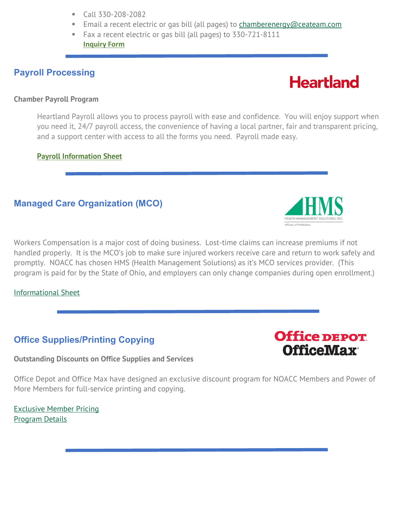- Call 330-208-2082
- Email a recent electric or gas bill (all pages) to **[chamberenergy@ceateam.com](mailto:chamberenergy@ceateam.com)**
- Fax a recent electric or gas bill (all pages) to 330-721-8111 **[Inquiry Form](https://noacc.org/wp-content/uploads/2020/04/Chamber-Energy-Flyer-with-Inquiry-Form_NOACC.pdf)**

# **Payroll Processing**

#### **Chamber Payroll Program**

Heartland Payroll allows you to process payroll with ease and confidence. You will enjoy support when you need it, 24/7 payroll access, the convenience of having a local partner, fair and transparent pricing, and a support center with access to all the forms you need. Payroll made easy.

#### **[Payroll Information Sheet](https://noacc.org/wp-content/uploads/2021/02/Payroll.pdf)**

# **Managed Care Organization (MCO)**

Workers Compensation is a major cost of doing business. Lost-time claims can increase premiums if not handled properly. It is the MCO's job to make sure injured workers receive care and return to work safely and promptly. NOACC has chosen HMS (Health Management Solutions) as it's MCO services provider. (This program is paid for by the State of Ohio, and employers can only change companies during open enrollment.)

[Informational Sheet](https://noacc.org/wp-content/uploads/2020/04/2019-HMS-NOACC-MCO-Partnership-Overview-4-19-Template-1.pdf)

# **Office Supplies/Printing Copying**

#### **Outstanding Discounts on Office Supplies and Services**

Office Depot and Office Max have designed an exclusive discount program for NOACC Members and Power of More Members for full-service printing and copying.

[Exclusive Member](https://noacc.org/wp-content/uploads/2020/05/Office-Max-Comparison.jpg) Pricing [Program Details](https://noacc.org/wp-content/uploads/2020/05/Office-Max-One-Page-Flyer.pdf)







**Heartland**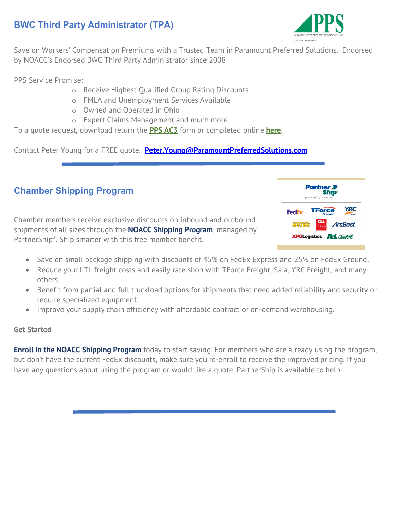# **BWC Third Party Administrator (TPA)**



Save on Workers' Compensation Premiums with a Trusted Team in Paramount Preferred Solutions. Endorsed by NOACC's Endorsed BWC Third Party Administrator since 2008

PPS Service Promise:

- o Receive Highest Qualified Group Rating Discounts
- o FMLA and Unemployment Services Available
- o Owned and Operated in Ohio
- o Expert Claims Management and much more

To a quote request, download return the **[PPS AC3](https://noacc.org/wp-content/uploads/2020/05/PPS-NOACC-One-Page-Flyer.pdf)** form or completed online **[here](https://www.yourworkplacesolutions.com/forms/get-a-quote-2020)**.

Contact Peter Young for a FREE quote. **[Peter.Young@ParamountPreferredSolutions.com](mailto:Peter.Young@ParamountPreferredSolutions.com)**

# **Chamber Shipping Program**

| <b>Partner &gt;</b><br>Ship<br>your shipping connection            |
|--------------------------------------------------------------------|
| <b>YRC</b><br><b>TForce</b><br>FedEx.<br><b>Freight</b><br>FRETCHT |
| ESTES<br>ArcBest<br>LTL Freight                                    |
| <b>XPOLogistics Rt/L</b> CARRIERS                                  |

Chamber members receive exclusive discounts on inbound and outbound shipments of all sizes through the **NOACC [Shipping Program](https://www.partnership.com/micro-site/index/89NOACC?utm_source=association&utm_medium=description&utm_campaign=NOACC(8728))**, managed by PartnerShip®. Ship smarter with this free member benefit.

- Save on small package shipping with discounts of 45% on FedEx Express and 25% on FedEx Ground.
- Reduce your LTL freight costs and easily rate shop with TForce Freight, Saia, YRC Freight, and many others.
- Benefit from partial and full truckload options for shipments that need added reliability and security or require specialized equipment.
- Improve your supply chain efficiency with affordable contract or on-demand warehousing.

### **Get Started**

**[Enroll in the NOACC Shipping Program](https://www.partnership.com/micro-site/enroll-now/89NOACC?promo_code=8728&utm_source=association&utm_medium=description&utm_campaign=NOACC(8728))** today to start saving. For members who are already using the program, but don't have the current FedEx discounts, make sure you re-enroll to receive the improved pricing. If you have any questions about using the program or would like a quote, PartnerShip is available to help.